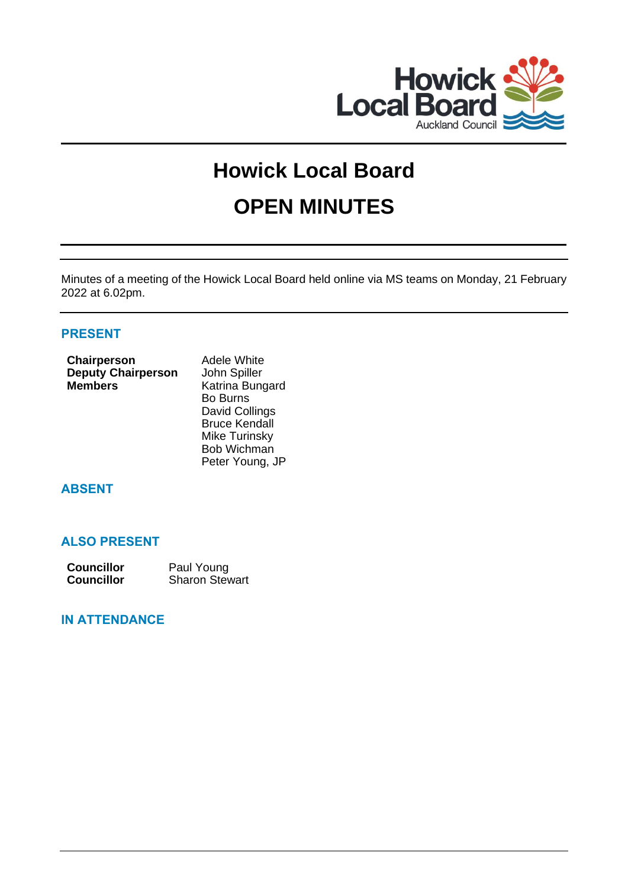

# **Howick Local Board OPEN MINUTES**

Minutes of a meeting of the Howick Local Board held online via MS teams on Monday, 21 February 2022 at 6.02pm.

# **PRESENT**

| Chairperson               | Adele White     |
|---------------------------|-----------------|
| <b>Deputy Chairperson</b> | John Spiller    |
| <b>Members</b>            | Katrina Bungard |
|                           | <b>Bo Burns</b> |

David Collings Bruce Kendall Mike Turinsky Bob Wichman Peter Young, JP

# **ABSENT**

# **ALSO PRESENT**

| <b>Councillor</b> | Paul Young            |
|-------------------|-----------------------|
| <b>Councillor</b> | <b>Sharon Stewart</b> |

# **IN ATTENDANCE**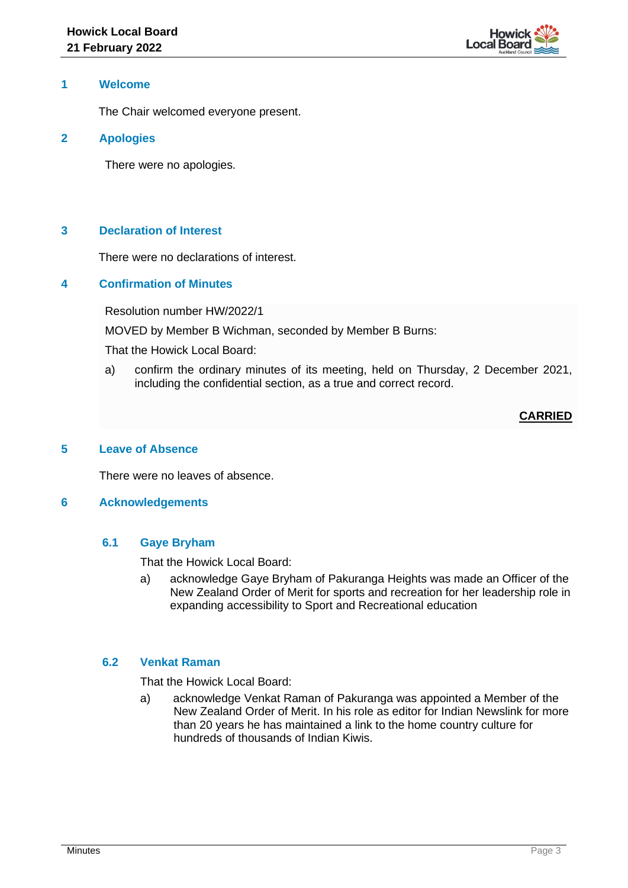

#### **1 Welcome**

The Chair welcomed everyone present.

#### **2 Apologies**

There were no apologies.

# **3 Declaration of Interest**

There were no declarations of interest.

## **4 Confirmation of Minutes**

Resolution number HW/2022/1

MOVED by Member B Wichman, seconded by Member B Burns:

That the Howick Local Board:

a) confirm the ordinary minutes of its meeting, held on Thursday, 2 December 2021, including the confidential section, as a true and correct record.

# **CARRIED**

#### **5 Leave of Absence**

There were no leaves of absence.

#### **6 Acknowledgements**

#### **6.1 Gaye Bryham**

That the Howick Local Board:

a) acknowledge Gaye Bryham of Pakuranga Heights was made an Officer of the New Zealand Order of Merit for sports and recreation for her leadership role in expanding accessibility to Sport and Recreational education

#### **6.2 Venkat Raman**

That the Howick Local Board:

a) acknowledge Venkat Raman of Pakuranga was appointed a Member of the New Zealand Order of Merit. In his role as editor for Indian Newslink for more than 20 years he has maintained a link to the home country culture for hundreds of thousands of Indian Kiwis.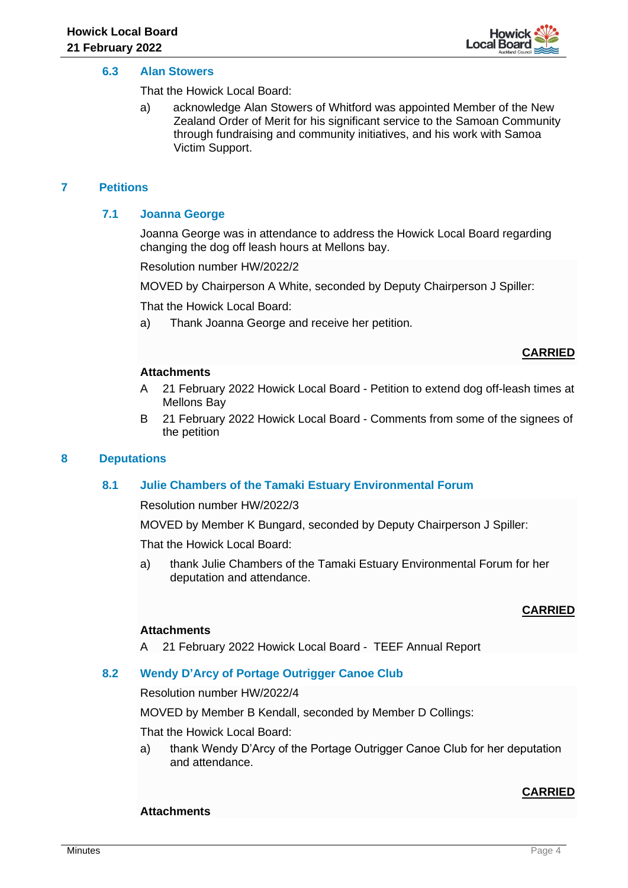

#### **6.3 Alan Stowers**

That the Howick Local Board:

a) acknowledge Alan Stowers of Whitford was appointed Member of the New Zealand Order of Merit for his significant service to the Samoan Community through fundraising and community initiatives, and his work with Samoa Victim Support.

# **7 Petitions**

# **7.1 Joanna George**

Joanna George was in attendance to address the Howick Local Board regarding changing the dog off leash hours at Mellons bay.

Resolution number HW/2022/2

MOVED by Chairperson A White, seconded by Deputy Chairperson J Spiller:

That the Howick Local Board:

a) Thank Joanna George and receive her petition.

#### **CARRIED**

#### **Attachments**

- A 21 February 2022 Howick Local Board Petition to extend dog off-leash times at Mellons Bay
- B 21 February 2022 Howick Local Board Comments from some of the signees of the petition

#### **8 Deputations**

#### **8.1 Julie Chambers of the Tamaki Estuary Environmental Forum**

Resolution number HW/2022/3

MOVED by Member K Bungard, seconded by Deputy Chairperson J Spiller:

That the Howick Local Board:

a) thank Julie Chambers of the Tamaki Estuary Environmental Forum for her deputation and attendance.

#### **CARRIED**

#### **Attachments**

A 21 February 2022 Howick Local Board - TEEF Annual Report

#### **8.2 Wendy D'Arcy of Portage Outrigger Canoe Club**

Resolution number HW/2022/4

MOVED by Member B Kendall, seconded by Member D Collings:

That the Howick Local Board:

a) thank Wendy D'Arcy of the Portage Outrigger Canoe Club for her deputation and attendance.

# **CARRIED**

#### **Attachments**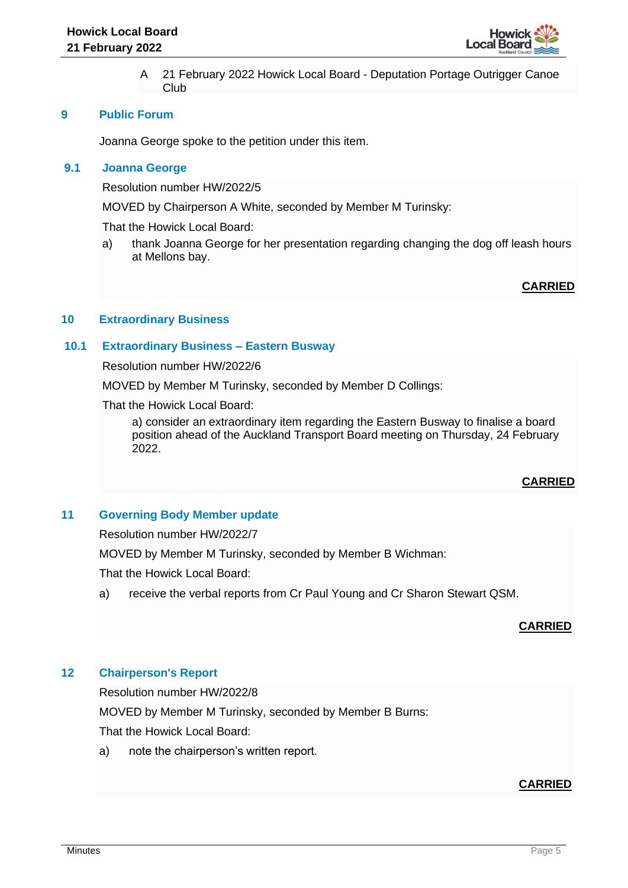

A 21 February 2022 Howick Local Board - Deputation Portage Outrigger Canoe Club

## **9 Public Forum**

Joanna George spoke to the petition under this item.

# **9.1 Joanna George**

Resolution number HW/2022/5

MOVED by Chairperson A White, seconded by Member M Turinsky:

That the Howick Local Board:

a) thank Joanna George for her presentation regarding changing the dog off leash hours at Mellons bay.

# **CARRIED**

# **10 Extraordinary Business**

#### **10.1 Extraordinary Business – Eastern Busway**

Resolution number HW/2022/6

MOVED by Member M Turinsky, seconded by Member D Collings:

That the Howick Local Board:

a) consider an extraordinary item regarding the Eastern Busway to finalise a board position ahead of the Auckland Transport Board meeting on Thursday, 24 February 2022.

# **CARRIED**

## **11 Governing Body Member update**

Resolution number HW/2022/7

MOVED by Member M Turinsky, seconded by Member B Wichman:

That the Howick Local Board:

a) receive the verbal reports from Cr Paul Young and Cr Sharon Stewart QSM.

# **CARRIED**

#### **12 Chairperson's Report**

Resolution number HW/2022/8 MOVED by Member M Turinsky, seconded by Member B Burns: That the Howick Local Board:

a) note the chairperson's written report.

# **CARRIED**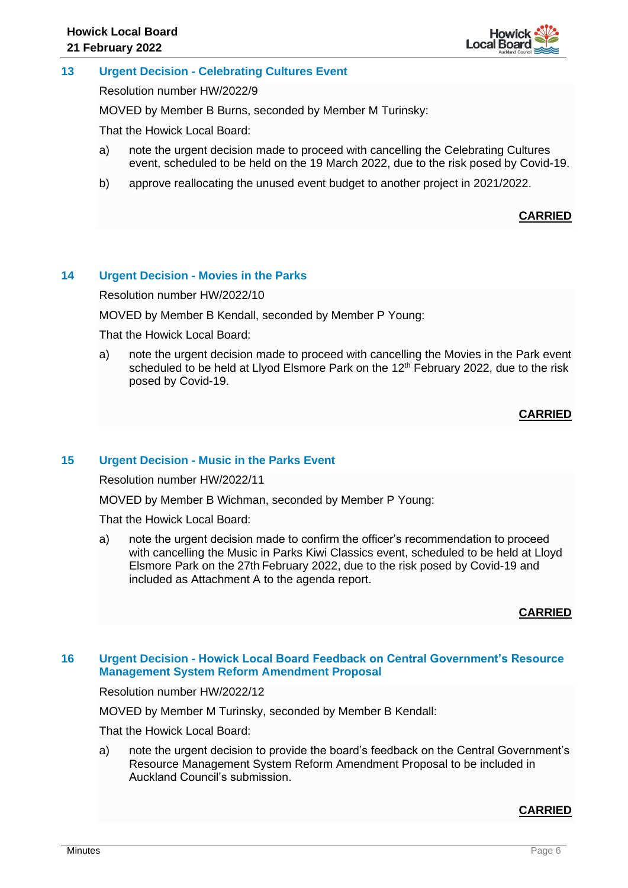

## **13 Urgent Decision - Celebrating Cultures Event**

Resolution number HW/2022/9

MOVED by Member B Burns, seconded by Member M Turinsky:

That the Howick Local Board:

- a) note the urgent decision made to proceed with cancelling the Celebrating Cultures event, scheduled to be held on the 19 March 2022, due to the risk posed by Covid-19.
- b) approve reallocating the unused event budget to another project in 2021/2022.

# **CARRIED**

#### **14 Urgent Decision - Movies in the Parks**

Resolution number HW/2022/10

MOVED by Member B Kendall, seconded by Member P Young:

That the Howick Local Board:

a) note the urgent decision made to proceed with cancelling the Movies in the Park event scheduled to be held at Livod Elsmore Park on the  $12<sup>th</sup>$  February 2022, due to the risk posed by Covid-19.

# **CARRIED**

#### **15 Urgent Decision - Music in the Parks Event**

Resolution number HW/2022/11

MOVED by Member B Wichman, seconded by Member P Young:

That the Howick Local Board:

a) note the urgent decision made to confirm the officer's recommendation to proceed with cancelling the Music in Parks Kiwi Classics event, scheduled to be held at Lloyd Elsmore Park on the 27th February 2022, due to the risk posed by Covid-19 and included as Attachment A to the agenda report.

# **CARRIED**

#### **16 Urgent Decision - Howick Local Board Feedback on Central Government's Resource Management System Reform Amendment Proposal**

Resolution number HW/2022/12

MOVED by Member M Turinsky, seconded by Member B Kendall:

That the Howick Local Board:

a) note the urgent decision to provide the board's feedback on the Central Government's Resource Management System Reform Amendment Proposal to be included in Auckland Council's submission.

#### **CARRIED**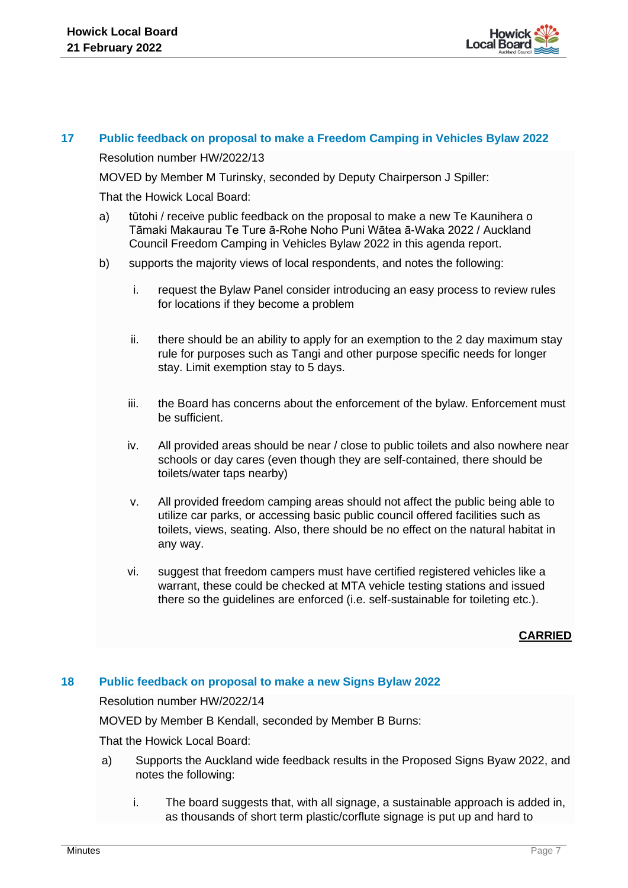

## **17 Public feedback on proposal to make a Freedom Camping in Vehicles Bylaw 2022**

Resolution number HW/2022/13

MOVED by Member M Turinsky, seconded by Deputy Chairperson J Spiller:

That the Howick Local Board:

- a) tūtohi / receive public feedback on the proposal to make a new Te Kaunihera o Tāmaki Makaurau Te Ture ā-Rohe Noho Puni Wātea ā-Waka 2022 / Auckland Council Freedom Camping in Vehicles Bylaw 2022 in this agenda report.
- b) supports the majority views of local respondents, and notes the following:
	- i. request the Bylaw Panel consider introducing an easy process to review rules for locations if they become a problem
	- ii. there should be an ability to apply for an exemption to the 2 day maximum stay rule for purposes such as Tangi and other purpose specific needs for longer stay. Limit exemption stay to 5 days.
	- iii. the Board has concerns about the enforcement of the bylaw. Enforcement must be sufficient.
	- iv. All provided areas should be near / close to public toilets and also nowhere near schools or day cares (even though they are self-contained, there should be toilets/water taps nearby)
	- v. All provided freedom camping areas should not affect the public being able to utilize car parks, or accessing basic public council offered facilities such as toilets, views, seating. Also, there should be no effect on the natural habitat in any way.
	- vi. suggest that freedom campers must have certified registered vehicles like a warrant, these could be checked at MTA vehicle testing stations and issued there so the guidelines are enforced (i.e. self-sustainable for toileting etc.).

# **CARRIED**

#### **18 Public feedback on proposal to make a new Signs Bylaw 2022**

Resolution number HW/2022/14

MOVED by Member B Kendall, seconded by Member B Burns:

That the Howick Local Board:

- a) Supports the Auckland wide feedback results in the Proposed Signs Byaw 2022, and notes the following:
	- i. The board suggests that, with all signage, a sustainable approach is added in, as thousands of short term plastic/corflute signage is put up and hard to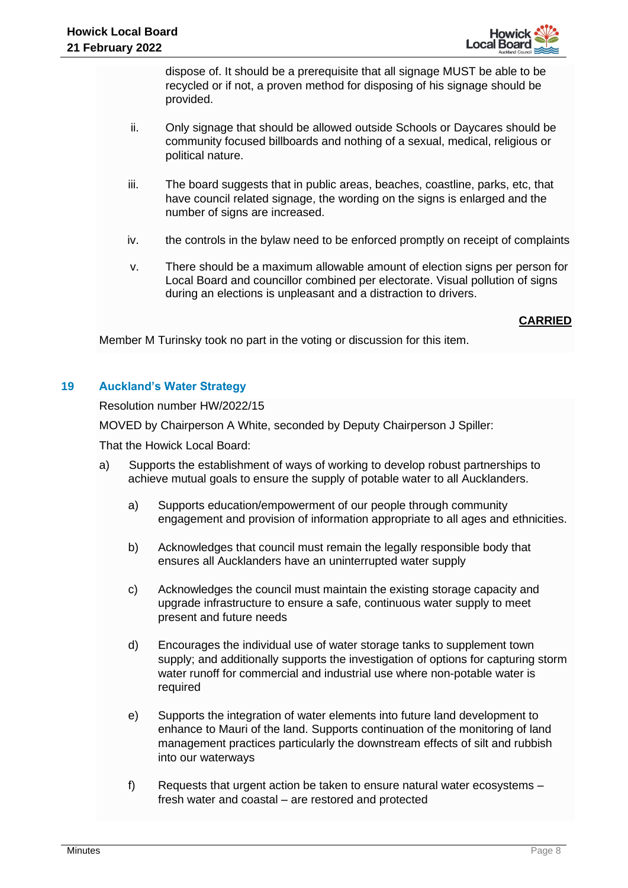

dispose of. It should be a prerequisite that all signage MUST be able to be recycled or if not, a proven method for disposing of his signage should be provided.

- ii. Only signage that should be allowed outside Schools or Daycares should be community focused billboards and nothing of a sexual, medical, religious or political nature.
- iii. The board suggests that in public areas, beaches, coastline, parks, etc, that have council related signage, the wording on the signs is enlarged and the number of signs are increased.
- iv. the controls in the bylaw need to be enforced promptly on receipt of complaints
- v. There should be a maximum allowable amount of election signs per person for Local Board and councillor combined per electorate. Visual pollution of signs during an elections is unpleasant and a distraction to drivers.

# **CARRIED**

Member M Turinsky took no part in the voting or discussion for this item.

# **19 Auckland's Water Strategy**

Resolution number HW/2022/15

MOVED by Chairperson A White, seconded by Deputy Chairperson J Spiller:

That the Howick Local Board:

- a) Supports the establishment of ways of working to develop robust partnerships to achieve mutual goals to ensure the supply of potable water to all Aucklanders.
	- a) Supports education/empowerment of our people through community engagement and provision of information appropriate to all ages and ethnicities.
	- b) Acknowledges that council must remain the legally responsible body that ensures all Aucklanders have an uninterrupted water supply
	- c) Acknowledges the council must maintain the existing storage capacity and upgrade infrastructure to ensure a safe, continuous water supply to meet present and future needs
	- d) Encourages the individual use of water storage tanks to supplement town supply; and additionally supports the investigation of options for capturing storm water runoff for commercial and industrial use where non-potable water is required
	- e) Supports the integration of water elements into future land development to enhance to Mauri of the land. Supports continuation of the monitoring of land management practices particularly the downstream effects of silt and rubbish into our waterways
	- f) Requests that urgent action be taken to ensure natural water ecosystems fresh water and coastal – are restored and protected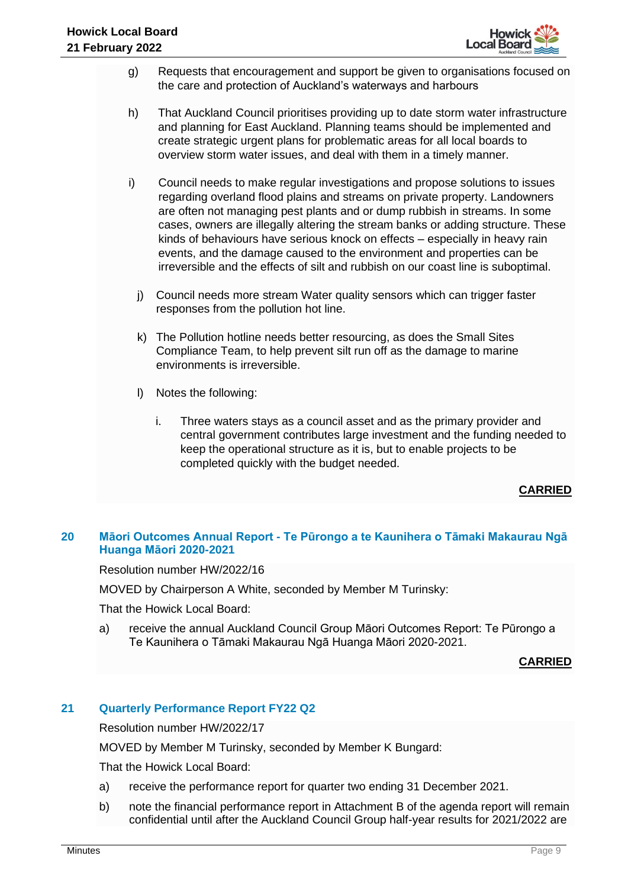

- g) Requests that encouragement and support be given to organisations focused on the care and protection of Auckland's waterways and harbours
- h) That Auckland Council prioritises providing up to date storm water infrastructure and planning for East Auckland. Planning teams should be implemented and create strategic urgent plans for problematic areas for all local boards to overview storm water issues, and deal with them in a timely manner.
- i) Council needs to make regular investigations and propose solutions to issues regarding overland flood plains and streams on private property. Landowners are often not managing pest plants and or dump rubbish in streams. In some cases, owners are illegally altering the stream banks or adding structure. These kinds of behaviours have serious knock on effects – especially in heavy rain events, and the damage caused to the environment and properties can be irreversible and the effects of silt and rubbish on our coast line is suboptimal.
	- j) Council needs more stream Water quality sensors which can trigger faster responses from the pollution hot line.
	- k) The Pollution hotline needs better resourcing, as does the Small Sites Compliance Team, to help prevent silt run off as the damage to marine environments is irreversible.
	- l) Notes the following:
		- i. Three waters stays as a council asset and as the primary provider and central government contributes large investment and the funding needed to keep the operational structure as it is, but to enable projects to be completed quickly with the budget needed.

# **CARRIED**

# **20 Māori Outcomes Annual Report - Te Pūrongo a te Kaunihera o Tāmaki Makaurau Ngā Huanga Māori 2020-2021**

Resolution number HW/2022/16

MOVED by Chairperson A White, seconded by Member M Turinsky:

That the Howick Local Board:

a) receive the annual Auckland Council Group Māori Outcomes Report: Te Pūrongo a Te Kaunihera o Tāmaki Makaurau Ngā Huanga Māori 2020-2021.

**CARRIED**

# **21 Quarterly Performance Report FY22 Q2**

Resolution number HW/2022/17

MOVED by Member M Turinsky, seconded by Member K Bungard:

That the Howick Local Board:

- a) receive the performance report for quarter two ending 31 December 2021.
- b) note the financial performance report in Attachment B of the agenda report will remain confidential until after the Auckland Council Group half-year results for 2021/2022 are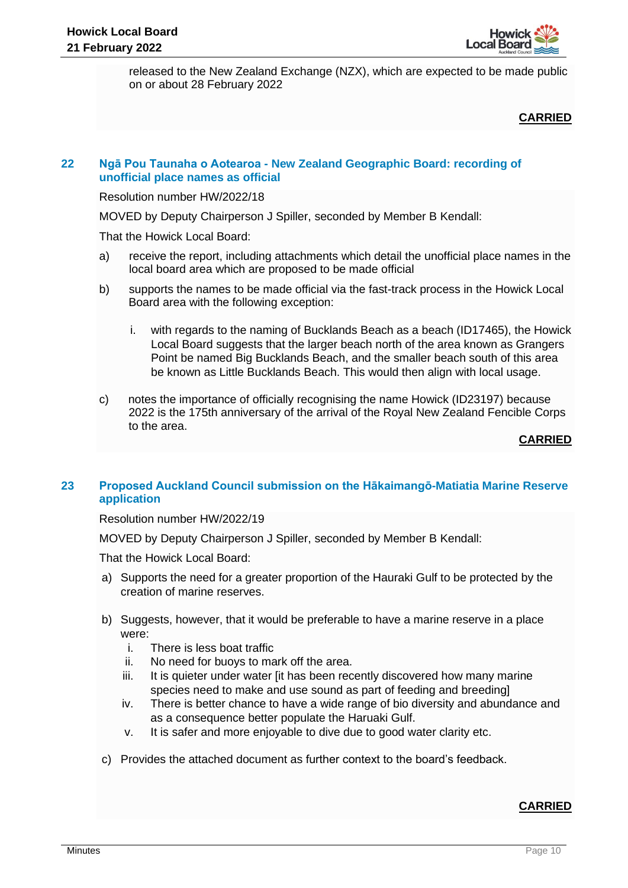

released to the New Zealand Exchange (NZX), which are expected to be made public on or about 28 February 2022

# **CARRIED**

## **22 Ngā Pou Taunaha o Aotearoa - New Zealand Geographic Board: recording of unofficial place names as official**

Resolution number HW/2022/18

MOVED by Deputy Chairperson J Spiller, seconded by Member B Kendall:

That the Howick Local Board:

- a) receive the report, including attachments which detail the unofficial place names in the local board area which are proposed to be made official
- b) supports the names to be made official via the fast-track process in the Howick Local Board area with the following exception:
	- i. with regards to the naming of Bucklands Beach as a beach (ID17465), the Howick Local Board suggests that the larger beach north of the area known as Grangers Point be named Big Bucklands Beach, and the smaller beach south of this area be known as Little Bucklands Beach. This would then align with local usage.
- c) notes the importance of officially recognising the name Howick (ID23197) because 2022 is the 175th anniversary of the arrival of the Royal New Zealand Fencible Corps to the area.

**CARRIED**

# **23 Proposed Auckland Council submission on the Hākaimangō-Matiatia Marine Reserve application**

Resolution number HW/2022/19

MOVED by Deputy Chairperson J Spiller, seconded by Member B Kendall:

That the Howick Local Board:

- a) Supports the need for a greater proportion of the Hauraki Gulf to be protected by the creation of marine reserves.
- b) Suggests, however, that it would be preferable to have a marine reserve in a place were:
	- i. There is less boat traffic
	- ii. No need for buoys to mark off the area.
	- iii. It is quieter under water [it has been recently discovered how many marine species need to make and use sound as part of feeding and breeding]
	- iv. There is better chance to have a wide range of bio diversity and abundance and as a consequence better populate the Haruaki Gulf.
	- v. It is safer and more enjoyable to dive due to good water clarity etc.
- c) Provides the attached document as further context to the board's feedback.

# **CARRIED**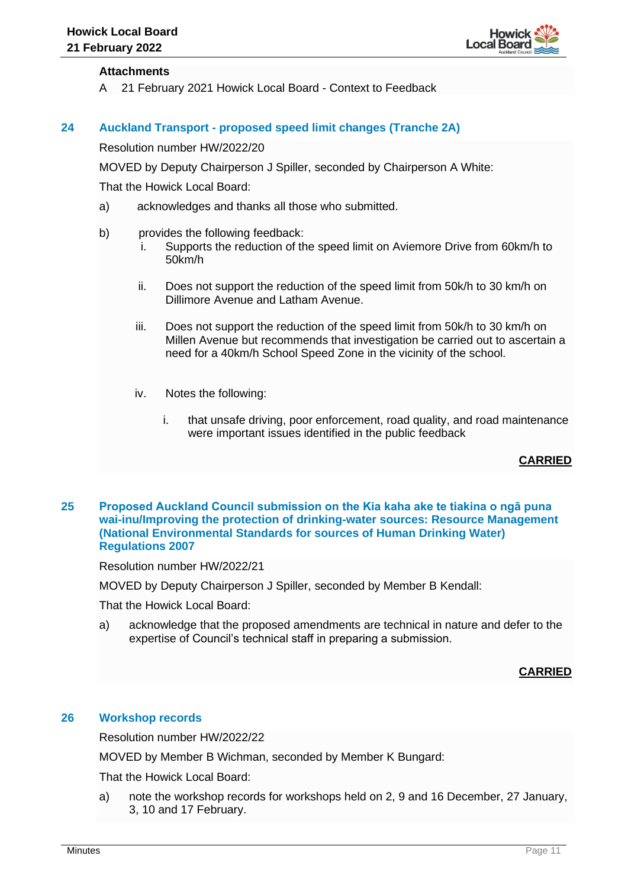

## **Attachments**

A 21 February 2021 Howick Local Board - Context to Feedback

#### **24 Auckland Transport - proposed speed limit changes (Tranche 2A)**

Resolution number HW/2022/20

MOVED by Deputy Chairperson J Spiller, seconded by Chairperson A White:

That the Howick Local Board:

- a) acknowledges and thanks all those who submitted.
- b) provides the following feedback:
	- i. Supports the reduction of the speed limit on Aviemore Drive from 60km/h to 50km/h
	- ii. Does not support the reduction of the speed limit from 50k/h to 30 km/h on Dillimore Avenue and Latham Avenue.
	- iii. Does not support the reduction of the speed limit from 50k/h to 30 km/h on Millen Avenue but recommends that investigation be carried out to ascertain a need for a 40km/h School Speed Zone in the vicinity of the school.
	- iv. Notes the following:
		- i. that unsafe driving, poor enforcement, road quality, and road maintenance were important issues identified in the public feedback

# **CARRIED**

#### **25 Proposed Auckland Council submission on the Kia kaha ake te tiakina o ngā puna wai-inu/Improving the protection of drinking-water sources: Resource Management (National Environmental Standards for sources of Human Drinking Water) Regulations 2007**

Resolution number HW/2022/21

MOVED by Deputy Chairperson J Spiller, seconded by Member B Kendall:

That the Howick Local Board:

a) acknowledge that the proposed amendments are technical in nature and defer to the expertise of Council's technical staff in preparing a submission.

# **CARRIED**

#### **26 Workshop records**

Resolution number HW/2022/22

MOVED by Member B Wichman, seconded by Member K Bungard:

That the Howick Local Board:

a) note the workshop records for workshops held on 2, 9 and 16 December, 27 January, 3, 10 and 17 February.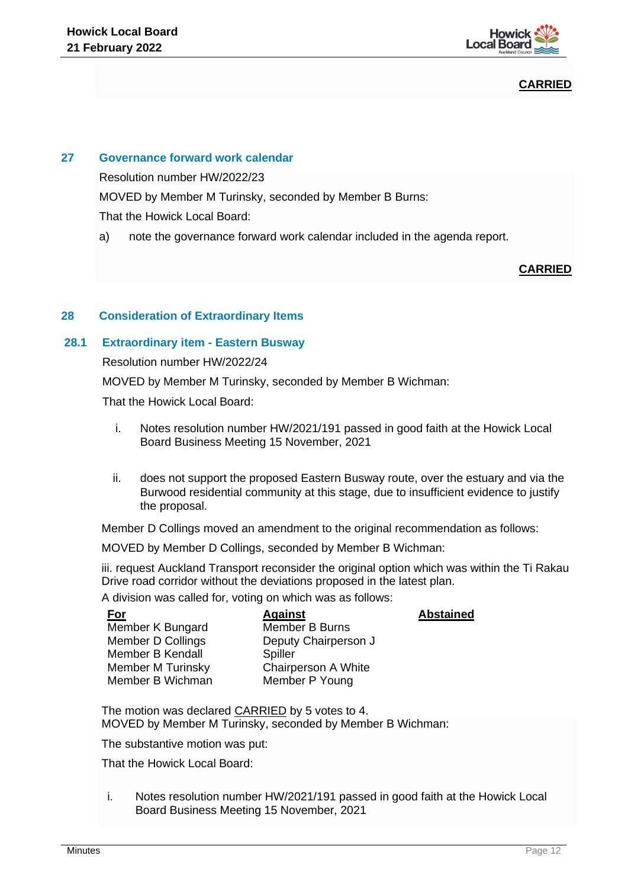

# **CARRIED**

# **27 Governance forward work calendar**

Resolution number HW/2022/23

MOVED by Member M Turinsky, seconded by Member B Burns:

That the Howick Local Board:

a) note the governance forward work calendar included in the agenda report.

# **CARRIED**

# **28 Consideration of Extraordinary Items**

#### **28.1 Extraordinary item - Eastern Busway**

Resolution number HW/2022/24

MOVED by Member M Turinsky, seconded by Member B Wichman:

That the Howick Local Board:

- i. Notes resolution number HW/2021/191 passed in good faith at the Howick Local Board Business Meeting 15 November, 2021
- ii. does not support the proposed Eastern Busway route, over the estuary and via the Burwood residential community at this stage, due to insufficient evidence to justify the proposal.

Member D Collings moved an amendment to the original recommendation as follows:

MOVED by Member D Collings, seconded by Member B Wichman:

iii. request Auckland Transport reconsider the original option which was within the Ti Rakau Drive road corridor without the deviations proposed in the latest plan.

A division was called for, voting on which was as follows:

| <u>For</u>               | <b>Against</b>             | <b>Abstained</b> |
|--------------------------|----------------------------|------------------|
| Member K Bungard         | Member B Burns             |                  |
| Member D Collings        | Deputy Chairperson J       |                  |
| Member B Kendall         | Spiller                    |                  |
| <b>Member M Turinsky</b> | <b>Chairperson A White</b> |                  |
| Member B Wichman         | Member P Young             |                  |
|                          |                            |                  |

The motion was declared CARRIED by 5 votes to 4. MOVED by Member M Turinsky, seconded by Member B Wichman:

The substantive motion was put:

That the Howick Local Board:

i. Notes resolution number HW/2021/191 passed in good faith at the Howick Local Board Business Meeting 15 November, 2021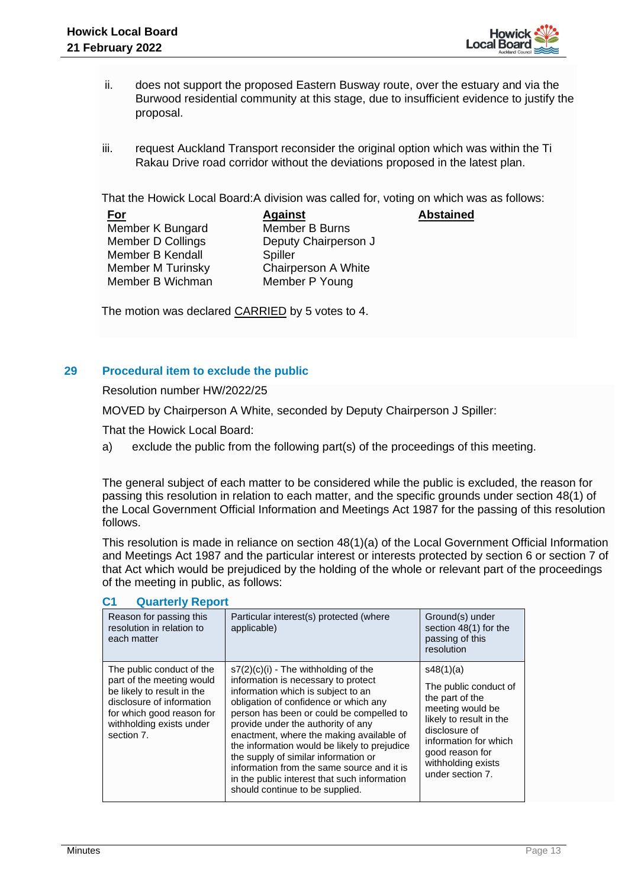

**Abstained**

- ii. does not support the proposed Eastern Busway route, over the estuary and via the Burwood residential community at this stage, due to insufficient evidence to justify the proposal.
- iii. request Auckland Transport reconsider the original option which was within the Ti Rakau Drive road corridor without the deviations proposed in the latest plan.

That the Howick Local Board:A division was called for, voting on which was as follows:

| <u>For</u>               | <b>Against</b>        |
|--------------------------|-----------------------|
| Member K Bungard         | <b>Member B Burns</b> |
| <b>Member D Collings</b> | Deputy Chairperson J  |
| Member B Kendall         | Spiller               |
| <b>Member M Turinsky</b> | Chairperson A White   |
| Member B Wichman         | Member P Young        |

The motion was declared CARRIED by 5 votes to 4.

#### **29 Procedural item to exclude the public**

Resolution number HW/2022/25

MOVED by Chairperson A White, seconded by Deputy Chairperson J Spiller:

That the Howick Local Board:

a) exclude the public from the following part(s) of the proceedings of this meeting.

The general subject of each matter to be considered while the public is excluded, the reason for passing this resolution in relation to each matter, and the specific grounds under section 48(1) of the Local Government Official Information and Meetings Act 1987 for the passing of this resolution follows.

This resolution is made in reliance on section 48(1)(a) of the Local Government Official Information and Meetings Act 1987 and the particular interest or interests protected by section 6 or section 7 of that Act which would be prejudiced by the holding of the whole or relevant part of the proceedings of the meeting in public, as follows:

| Reason for passing this<br>resolution in relation to<br>each matter                                                                                                                      | Particular interest(s) protected (where<br>applicable)                                                                                                                                                                                                                                                                                                                                                                                                                                                              | Ground(s) under<br>section 48(1) for the<br>passing of this<br>resolution                                                                                                                                   |
|------------------------------------------------------------------------------------------------------------------------------------------------------------------------------------------|---------------------------------------------------------------------------------------------------------------------------------------------------------------------------------------------------------------------------------------------------------------------------------------------------------------------------------------------------------------------------------------------------------------------------------------------------------------------------------------------------------------------|-------------------------------------------------------------------------------------------------------------------------------------------------------------------------------------------------------------|
| The public conduct of the<br>part of the meeting would<br>be likely to result in the<br>disclosure of information<br>for which good reason for<br>withholding exists under<br>section 7. | $s7(2)(c)(i)$ - The withholding of the<br>information is necessary to protect<br>information which is subject to an<br>obligation of confidence or which any<br>person has been or could be compelled to<br>provide under the authority of any<br>enactment, where the making available of<br>the information would be likely to prejudice<br>the supply of similar information or<br>information from the same source and it is<br>in the public interest that such information<br>should continue to be supplied. | s48(1)(a)<br>The public conduct of<br>the part of the<br>meeting would be<br>likely to result in the<br>disclosure of<br>information for which<br>good reason for<br>withholding exists<br>under section 7. |

#### **C1 Quarterly Report**